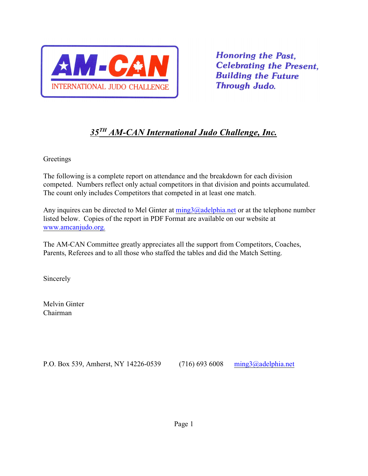

**Honoring the Past. Celebrating the Present. Building the Future Through Judo.** 

# $35<sup>TH</sup> AM-CAN International Judo Challenge, Inc.$

Greetings

The following is a complete report on attendance and the breakdown for each division competed. Numbers reflect only actual competitors in that division and points accumulated. The count only includes Competitors that competed in at least one match.

Any inquires can be directed to Mel Ginter at  $\frac{m \cdot m}{2}$  and  $\frac{m \cdot m}{2}$  and  $\frac{m \cdot m}{2}$  are the telephone number listed below. Copies of the report in PDF Format are available on our website at [www.amcanjudo.org.](http://www.amcanjudo.org.)

The AM-CAN Committee greatly appreciates all the support from Competitors, Coaches, Parents, Referees and to all those who staffed the tables and did the Match Setting.

Sincerely

Melvin Ginter Chairman

P.O. Box 539, Amherst, NY 14226-0539 (716) 693 6008 [ming3@adelphia.net](mailto:ming3@adelphia.net)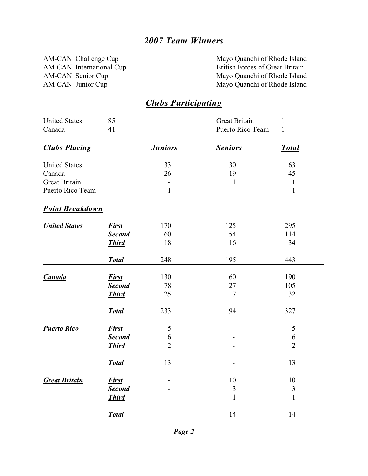# *2007 Team Winners*

AM-CAN International Cup<br>AM-CAN Senior Cup

AM-CAN Challenge Cup<br>
AM-CAN International Cup<br>
CAN International Cup<br>
CAN International Cup<br>
CAN International Cup<br>
CAN International Cup<br>
CAN International Cup<br>
CAN International Cup<br>
CAN International Cup AM-CAN Senior Cup<br>
AM-CAN Junior Cup<br>
Mayo Quanchi of Rhode Island<br>
Mayo Quanchi of Rhode Island Mayo Quanchi of Rhode Island

# *Clubs Participating*

| <b>United States</b>   | 85            |                | Great Britain            | $\mathbf{1}$   |  |
|------------------------|---------------|----------------|--------------------------|----------------|--|
| Canada                 | 41            |                | Puerto Rico Team         | $\mathbf{1}$   |  |
| <b>Clubs Placing</b>   |               | <b>Juniors</b> | <b>Seniors</b>           | <b>Total</b>   |  |
| <b>United States</b>   |               | 33             | 30                       | 63             |  |
| Canada                 |               | 26             | 19                       | 45             |  |
| <b>Great Britain</b>   |               |                | $\mathbf{1}$             | $\mathbf{1}$   |  |
| Puerto Rico Team       |               | $\mathbf{1}$   |                          | $\mathbf{1}$   |  |
| <b>Point Breakdown</b> |               |                |                          |                |  |
| <b>United States</b>   | <b>First</b>  | 170            | 125                      | 295            |  |
|                        | <b>Second</b> | 60             | 54                       | 114            |  |
|                        | <b>Third</b>  | 18             | 16                       | 34             |  |
|                        | <b>Total</b>  | 248            | 195                      | 443            |  |
| <b>Canada</b>          | <b>First</b>  | 130            | 60                       | 190            |  |
|                        | <b>Second</b> | 78             | 27                       | 105            |  |
|                        | <b>Third</b>  | 25             | $\tau$                   | 32             |  |
|                        | <b>Total</b>  | 233            | 94                       | 327            |  |
| <b>Puerto Rico</b>     | <b>First</b>  | 5              | $\overline{\phantom{0}}$ | $\mathfrak{S}$ |  |
|                        | <b>Second</b> | 6              |                          | 6              |  |
|                        | <b>Third</b>  | $\overline{2}$ |                          | $\overline{2}$ |  |
|                        | <b>Total</b>  | 13             | $\blacksquare$           | 13             |  |
| <b>Great Britain</b>   | <b>First</b>  |                | 10                       | 10             |  |
|                        | <b>Second</b> |                | $\mathfrak{Z}$           | $\mathfrak{Z}$ |  |
|                        | <b>Third</b>  |                | $\mathbf{1}$             | $\mathbf{1}$   |  |
|                        | <b>Total</b>  |                | 14                       | 14             |  |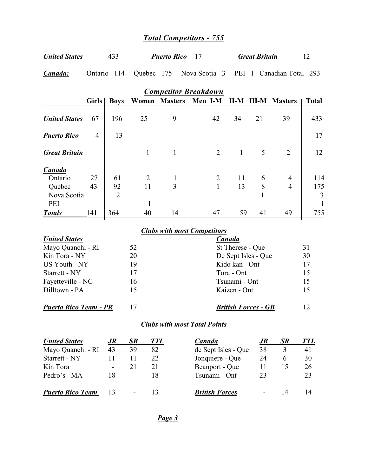# *Total Competitors - 755*

| <b>United States</b> |  | <i>Puerto Rico</i> |  | <b>Great Britain</b> |  |
|----------------------|--|--------------------|--|----------------------|--|
|----------------------|--|--------------------|--|----------------------|--|

*Canada:* Ontario 114 Quebec 175 Nova Scotia 3 PEI 1 Canadian Total 293

| Competitor Dieundown                       |                |                            |                      |                |                                |              |              |                                  |                 |
|--------------------------------------------|----------------|----------------------------|----------------------|----------------|--------------------------------|--------------|--------------|----------------------------------|-----------------|
|                                            | <b>Girls</b>   | <b>Boys</b>                | Women                | <b>Masters</b> | Men I-M                        | $II-M$       | <b>III-M</b> | <b>Masters</b>                   | <b>Total</b>    |
| <b>United States</b>                       | 67             | 196                        | 25                   | 9              | 42                             | 34           | 21           | 39                               | 433             |
| <b>Puerto Rico</b>                         | $\overline{4}$ | 13                         |                      |                |                                |              |              |                                  | 17              |
| <b>Great Britain</b>                       |                |                            |                      | 1              | $\overline{2}$                 | $\mathbf{1}$ | 5            | $\overline{2}$                   | 12              |
| Canada<br>Ontario<br>Quebec<br>Nova Scotia | 27<br>43       | 61<br>92<br>$\overline{2}$ | $\overline{2}$<br>11 | 1<br>3         | $\overline{2}$<br>$\mathbf{1}$ | 11<br>13     | 6<br>8       | $\overline{4}$<br>$\overline{4}$ | 114<br>175<br>3 |
| PEI                                        |                |                            |                      |                |                                |              |              |                                  |                 |
| <b>Totals</b>                              | 141            | 364                        | 40                   | 14             | 47                             | 59           | 41           | 49                               | 755             |
|                                            |                |                            |                      |                |                                |              |              |                                  |                 |

*Competitor Breakdown*

### *Clubs with most Competitors*

| <b>United States</b>         |    | <b>Canada</b>              |     |
|------------------------------|----|----------------------------|-----|
| Mayo Quanchi - RI            | 52 | St Therese - Que           | 31  |
| Kin Tora - NY                | 20 | De Sept Isles - Que        | 30  |
| US Youth - NY                | 19 | Kido kan - Ont             | 17  |
| Starrett - NY                | 17 | Tora - Ont                 | 15  |
| Fayetteville - NC            | 16 | Tsunami - Ont              | 15  |
| Dilltown - PA                | 15 | Kaizen - Ont               | 15  |
| <b>Puerto Rico Team - PR</b> |    | <b>British Forces - GB</b> | 12. |

### *Clubs with most Total Points*

| <b>United States</b>    | .JR                      | SR             | <i>TTL</i> | <b>Canada</b>         | JR | <b>SR</b>                | <b>TTL</b> |
|-------------------------|--------------------------|----------------|------------|-----------------------|----|--------------------------|------------|
| Mayo Quanchi - RI       | 43                       | 39             | 82         | de Sept Isles - Que   | 38 | 3                        | 41         |
| Starrett - NY           |                          |                | 22         | Jonquiere - Que       | 24 | h                        | 30         |
| Kin Tora                | $\overline{\phantom{a}}$ |                |            | Beauport - Que        | 11 |                          | 26         |
| Pedro's - MA            |                          | $\blacksquare$ | 18         | Tsunami - Ont         | 23 | $\overline{\phantom{0}}$ | 23         |
| <b>Puerto Rico Team</b> |                          |                | 13         | <b>British Forces</b> |    | 14                       |            |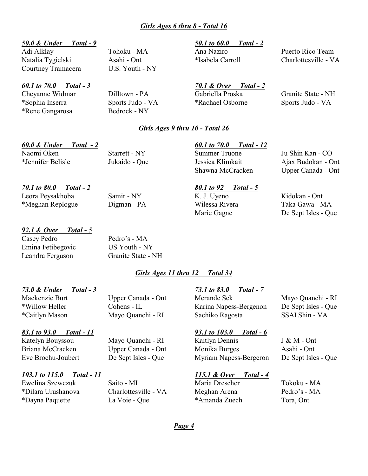## *Girls Ages 6 thru 8 - Total 16*

### *50.0 & Under Total - 9 50.1 to 60.0 Total - 2*

Adi Alklay Tohoku - MA Ana Naziro Puerto Rico Team Natalia Tygielski Asahi - Ont \*Isabela Carroll Charlottesville - VA Courtney Tramacera U.S. Youth - NY

*60.1 to 70.0 Total - 3 70.1 & Over Total - 2*

\*Rene Gangarosa Bedrock - NY

Cheyanne Widmar Dilltown - PA Gabriella Proska Granite State - NH \*Sophia Inserra Sports Judo - VA \*Rachael Osborne Sports Judo - VA

### *Girls Ages 9 thru 10 - Total 26*

# *60.0 & Under Total - 2 60.1 to 70.0 Total - 12*

\*Jennifer Belisle Jukaido - Que Jessica Klimkait Ajax Budokan - Ont

Naomi Oken Starrett - NY Summer Truone Ju Shin Kan - CO

*70.1 to 80.0 Total - 2 80.1 to 92 Total - 5* Leora Peysakhoba Samir - NY K. J. Uyeno Kidokan - Ont

### *92.1 & Over Total - 5*

Casey Pedro Pedro's - MA Emina Fetibegovic US Youth - NY Leandra Ferguson Granite State - NH

### *Girls Ages 11 thru 12 Total 34*

### *73.0 & Under Total - 3 73.1 to 83.0 Total - 7*

Mackenzie Burt Upper Canada - Ont Merande Sek Mayo Quanchi - RI

### *83.1 to 93.0 Total - 11 93.1 to 103.0 Total - 6*

### *103.1 to 115.0 Total - 11 115.1 & Over Total - 4*

Ewelina Szewczuk Saito - MI Maria Drescher Tokoku - MA \*Dilara Urushanova Charlottesville - VA Meghan Arena Pedro's - MA \*Dayna Paquette La Voie - Que \*Amanda Zuech Tora, Ont

\*Willow Heller Cohens - IL Karina Napess-Bergenon De Sept Isles - Que \*Caitlyn Mason Mayo Quanchi - RI Sachiko Ragosta SSAI Shin - VA

Katelyn Bouyssou Mayo Quanchi - RI Kaitlyn Dennis J & M - Ont Briana McCracken Upper Canada - Ont Monika Burges Asahi - Ont Eve Brochu-Joubert De Sept Isles - Que Myriam Napess-Bergeron De Sept Isles - Que

*Page 4*

Shawna McCracken Upper Canada - Ont

\*Meghan Replogue Digman - PA Wilessa Rivera Taka Gawa - MA Marie Gagne De Sept Isles - Que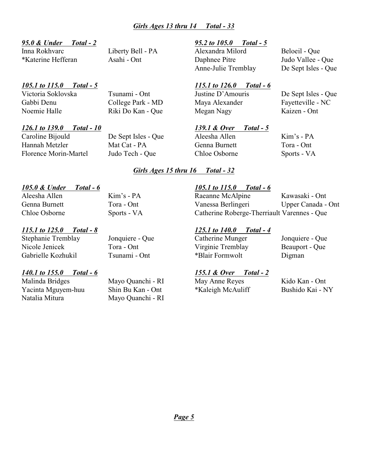## *Girls Ages 13 thru 14 Total - 33*

### *95.0 & Under Total - 2 95.2 to 105.0 Total - 5*

Inna Rokhvarc Liberty Bell - PA Alexandra Milord Beloeil - Que

### *105.1 to 115.0 Total - 5 115.1 to 126.0 Total - 6*

Victoria Soklovska Tsunami - Ont Justine D'Amouris De Sept Isles - Que

# *126.1 to 139.0 Total - 10 139.1 & Over Total - 5*

\*Katerine Hefferan Asahi - Ont Daphnee Pitre Judo Vallee - Que Anne-Julie Tremblay De Sept Isles - Que

Gabbi Denu College Park - MD Maya Alexander Fayetteville - NC Noemie Halle Riki Do Kan - Que Megan Nagy Kaizen - Ont

Caroline Bijould De Sept Isles - Que Aleesha Allen Kim's - PA Hannah Metzler Mat Cat - PA Genna Burnett Tora - Ont Florence Morin-Martel Judo Tech - Que Chloe Osborne Sports - VA

### *Girls Ages 15 thru 16 Total - 32*

### *105.0 & Under Total - 6 105.1 to 115.0 Total - 6*

### *115.1 to 125.0 Total - 8 125.1 to 140.0 Total - 4*

Stephanie Tremblay Jonquiere - Que Catherine Munger Jonquiere - Que Nicole Jenicek Tora - Ont Virginie Tremblay Beauport - Que Gabrielle Kozhukil Tsunami - Ont \*Blair Formwolt Digman

Natalia Mitura Mayo Quanchi - RI

Aleesha Allen Kim's - PA Raeanne McAlpine Kawasaki - Ont Genna Burnett Tora - Ont Vanessa Berlingeri Upper Canada - Ont Chloe Osborne Sports - VA Catherine Roberge-Therriault Varennes - Que

### *140.1 to 155.0 Total - 6 155.1 & Over Total - 2*

Malinda Bridges Mayo Quanchi - RI May Anne Reyes Kido Kan - Ont Yacinta Mguyem-huu Shin Bu Kan - Ont \*Kaleigh McAuliff Bushido Kai - NY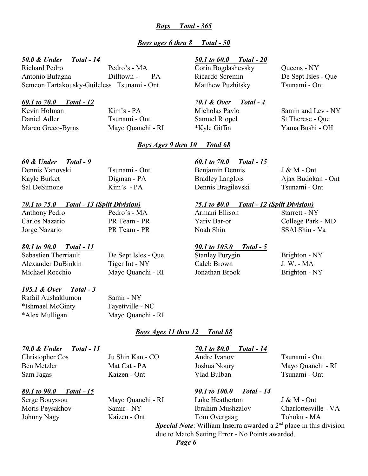### *Boys Total - 365*

### *Boys ages 6 thru 8 Total - 50*

### *50.0 & Under Total - 14 50.1 to 60.0 Total - 20*

Richard Pedro Pedro's - MA Corin Bogdashevsky Queens - NY Antonio Bufagna Dilltown - PA Ricardo Scremin De Sept Isles - Que Semeon Tartakousky-Guileless Tsunami - Ont Matthew Puzhitsky Tsunami - Ont

Daniel Adler Tsunami - Ont Samuel Riopel St Therese - Que Marco Greco-Byrns Mayo Quanchi - RI \*Kyle Giffin Yama Bushi - OH

### *60.1 to 70.0 Total - 12 70.1 & Over Total - 4*

Kevin Holman **Kim's - PA** Micholas Pavlo Samin and Lev - NY

### *Boys Ages 9 thru 10 Total 68*

### *70.1 to 75.0 Total - 13 (Split Division) 75.1 to 80.0 Total - 12 (Split Division)*

# Anthony Pedro **Pedro's - MA** Armani Ellison Starrett - NY Jorge Nazario PR Team - PR Noah Shin SSAI Shin - Va

# *80.1 to 90.0 Total - 11 90.1 to 105.0 Total - 5*

Alexander DuBinkin Tiger Int - NY Caleb Brown J. W. - MA Michael Rocchio Mayo Quanchi - RI Jonathan Brook Brighton - NY

### *105.1 & Over Total - 3*

Rafail Aushaklumon Samir - NY \*Ishmael McGinty Fayettville - NC \*Alex Mulligan Mayo Quanchi - RI

### *Boys Ages 11 thru 12 Total 88*

### *70.0 & Under Total - 11 70.1 to 80.0 Total - 14*

Christopher Cos Ju Shin Kan - CO Andre Ivanov Tsunami - Ont Sam Jagas Kaizen - Ont Vlad Bulban Tsunami - Ont

Ben Metzler Mat Cat - PA Joshua Noury Mayo Quanchi - RI

*80.1 to 90.0 Total - 15 90.1 to 100.0 Total - 14*

Serge Bouyssou Mayo Quanchi - RI Luke Heatherton J & M - Ont Moris Peysakhov Samir - NY Ibrahim Mushzalov Charlottesville - VA Johnny Nagy Kaizen - Ont Tom Overgaag Tohoku - MA **Special Note**: William Inserra awarded a 2<sup>nd</sup> place in this division

due to Match Setting Error - No Points awarded.

Dennis Yanovski Tsunami - Ont Benjamin Dennis J & M - Ont Kayle Burket Digman - PA Bradley Langlois Ajax Budokan - Ont Sal DeSimone Kim's - PA Dennis Bragilevski Tsunami - Ont

Carlos Nazario PR Team - PR Yariv Bar-or College Park - MD

# De Sept Isles - Que Stanley Purygin Brighton - NY

*60 & Under Total - 9 60.1 to 70.0 Total - 15*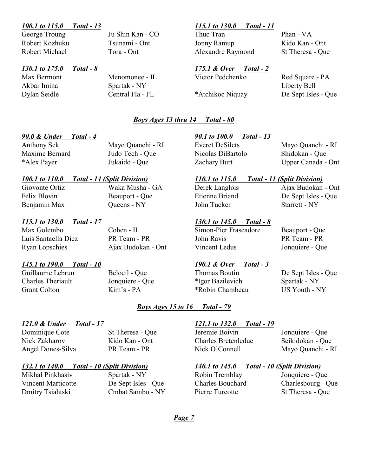### *100.1 to 115.0 Total - 13 115.1 to 130.0 Total - 11*

George Troung Ju Shin Kan - CO Thuc Tran Phan - VA

# *130.1 to 175.0 Total - 8 175.1 & Over Total - 2*

Akbar Imina Spartak - NY Liberty Bell

Robert Kozhuku Tsunami - Ont Jonny Ramup Kido Kan - Ont Robert Michael Tora - Ont Alexandre Raymond St Theresa - Que

# Max Bermont Menomonee - IL Victor Pedchenko Red Square - PA Dylan Seidle Central Fla - FL \*Atchikoc Niquay De Sept Isles - Que

### *Boys Ages 13 thru 14 Total - 80*

### *100.1 to 110.0 Total - 14 (Split Division) 110.1 to 115.0 Total - 11 (Split Division)*

Giovonte Ortiz Waka Musha - GA Derek Langlois Ajax Budokan - Ont Felix Blovin Beauport - Que Etienne Briand De Sept Isles - Que Benjamin Max Queens - NY John Tucker Starrett - NY

### *115.1 to 130.0 Total - 17 130.1 to 145.0 Total - 8*

### *145.1 to 190.0 Total - 10 190.1 & Over Total - 3*

### *90.0 & Under Total - 4 90.1 to 100.0 Total - 13*

Maxime Bernard Judo Tech - Que Nicolas DiBartolo Shidokan - Que

Anthony Sek Mayo Quanchi - RI Everet DeSilets Mayo Quanchi - RI \*Alex Payer Jukaido - Que Zachary Burt Upper Canada - Ont

Max Golembo Cohen - IL Simon-Pier Frascadore Beauport - Que Luis Santaella Diez PR Team - PR John Ravis PR Team - PR Ryan Lopschies Ajax Budokan - Ont Vincent Ledus Jonquiere - Que

Guillaume Lebrun Beloeil - Que Thomas Boutin De Sept Isles - Que Charles Theriault Jonquiere - Que \*Igor Bazilevich Spartak - NY Grant Colton Kim's - PA \*Robin Chambeau US Youth - NY

### *Boys Ages 15 to 16 Total - 79*

### *121.0 & Under Total - 17 121.1 to 132.0 Total - 19*

Dmitry Tsiahtski Cmbat Sambo - NY Pierre Turcotte St Theresa - Que

Mikhal Pinkhasiv Spartak - NY Robin Tremblay Jonquiere - Que Vincent Marticotte De Sept Isles - Que Charles Bouchard Charlesbourg - Que

Dominique Cote St Theresa - Que Jeremie Boivin Jonquiere - Que Nick Zakharov Kido Kan - Ont Charles Bretenleduc Seikidokan - Que Angel Dones-Silva PR Team - PR Nick O'Connell Mayo Quanchi - RI

### *132.1 to 140.0 Total - 10 (Split Division) 140.1 to 145.0 Total - 10 (Split Division)*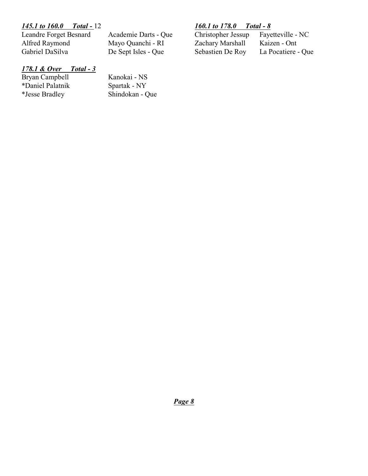Alfred Raymond Mayo Quanchi - RI Zachary Marshall<br>
Gabriel DaSilva De Sept Isles - Que Sebastien De Roy

*145.1 to 160.0 Total -* 12 *160.1 to 178.0 Total - 8* Leandre Forget Besnard Academie Darts - Que Christopher Jessup Fayetteville - Nativel Alfred Raymond Mayo Quanchi - RI Zachary Marshall Kaizen - Ont De Sept Isles - Que Sebastien De Roy La Pocatiere - Que

# *178.1 & Over Total - 3*

Bryan Campbell<br>
\*Daniel Palatnik<br>
\*Daniel Palatnik<br>
\*Daniel Palatnik<br>
\*Daniel Palatnik \*Daniel Palatnik<br>\*Jesse Bradley

Shindokan - Que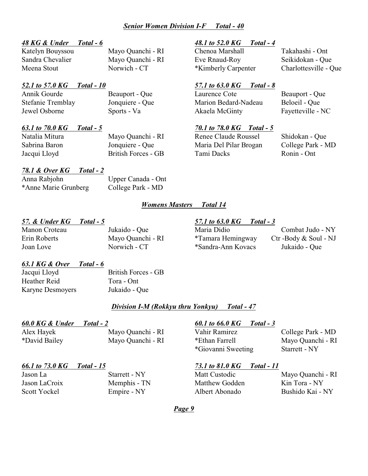### *Senior Women Division I-F Total - 40*

### *48 KG & Under Total - 6 48.1 to 52.0 KG Total - 4*

### *52.1 to 57.0 KG Total - 10 57.1 to 63.0 KG Total - 8*

### *63.1 to 70.0 KG Total - 5 70.1 to 78.0 KG Total - 5*

### *78.1 & Over KG Total - 2*

Anna Rabjohn Upper Canada - Ont \*Anne Marie Grunberg College Park - MD

### *Womens Masters Total 14*

### Manon Croteau Jukaido - Que Maria Didio Combat Judo - NY Erin Roberts Mayo Quanchi - RI \*Tamara Hemingway Ctr -Body & Soul - NJ Joan Love Norwich - CT \*Sandra-Ann Kovacs Jukaido - Que

Katelyn Bouyssou Mayo Quanchi - RI Chenoa Marshall Takahashi - Ont Sandra Chevalier Mayo Quanchi - RI Eve Rnaud-Roy Seikidokan - Que Meena Stout Norwich - CT \*Kimberly Carpenter Charlottesville - Que

Annik Gourde Beauport - Que Laurence Cote Beauport - Que Stefanie Tremblay Jonquiere - Que Marion Bedard-Nadeau Beloeil - Que Jewel Osborne Sports - Va Akaela McGinty Fayetteville - NC

Natalia Mitura Mayo Quanchi - RI Renee Claude Roussel Shidokan - Que Sabrina Baron Jonquiere - Que Maria Del Pilar Brogan College Park - MD Jacqui Lloyd British Forces - GB Tami Dacks Ronin - Ont

*57. & Under KG Total - 5 57.1 to 63.0 KG Total - 3*

### *63.1 KG & Over Total - 6*

Jacqui Lloyd British Forces - GB Heather Reid Tora - Ont Karyne Desmoyers Jukaido - Que

*Division I-M (Rokkyu thru Yonkyu) Total - 47*

### *60.0 KG & Under Total - 2 60.1 to 66.0 KG Total - 3*

### *66.1 to 73.0 KG Total - 15 73.1 to 81.0 KG Total - 11*

Alex Hayek Mayo Quanchi - RI Vahir Ramirez College Park - MD \*David Bailey Mayo Quanchi - RI \*Ethan Farrell Mayo Quanchi - RI \*Giovanni Sweeting Starrett - NY

Jason LaCroix Memphis - TN Matthew Godden Kin Tora - NY

Jason La Starrett - NY Matt Custodic Mayo Quanchi - RI Scott Yockel Empire - NY Albert Abonado Bushido Kai - NY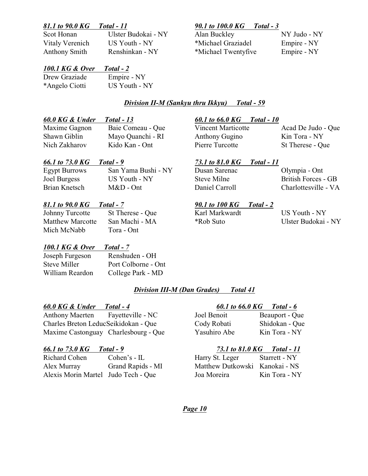Scot Honan Ulster Budokai - NY Alan Buckley NY Judo - NY

# *81.1 to 90.0 KG Total - 11 90.1 to 100.0 KG Total - 3*

Vitaly Verenich US Youth - NY \*Michael Graziadel Empire - NY Anthony Smith Renshinkan - NY \*Michael Twentyfive Empire - NY

# *100.1 KG & Over Total - 2*

| Drew Graziade  | Empire - NY   |
|----------------|---------------|
| *Angelo Ciotti | US Youth - NY |

# *Division II-M (Sankyu thru Ikkyu) Total - 59*

## *60.0 KG & Under Total - 13 60.1 to 66.0 KG Total - 10*

Maxime Gagnon Baie Comeau - Que Vincent Marticotte Acad De Judo - Que Shawn Giblin Mayo Quanchi - RI Anthony Gugino Kin Tora - NY Nich Zakharov Kido Kan - Ont Pierre Turcotte St Therese - Que

Egypt Burrows San Yama Bushi - NY Dusan Sarenac Olympia - Ont Joel Burgess US Youth - NY Steve Milne British Forces - GB Brian Knetsch M&D - Ont Daniel Carroll Charlottesville - VA

## *81.1 to 90.0 KG Total - 7 90.1 to 100 KG Total - 2*

Johnny Turcotte St Therese - Que Karl Markwardt US Youth - NY Mich McNabb Tora - Ont

# *100.1 KG & Over Total - 7*

Joseph Furgeson Renshuden - OH Steve Miller Port Colborne - Ont William Reardon College Park - MD

# *Division III-M (Dan Grades) Total 41*

### *60.0 KG & Under Total - 4 60.1 to 66.0 KG Total - 6*

Anthony Maerten Fayetteville - NC Joel Benoit Benedict Benedict Benedict Benedict Benedict Benedict Benedict B Charles Breton LeducSeikidokan - Que Cody Cody Robati Shidokan - Que Maxime Castonguay Charlesbourg - Que

Richard Cohen Cohen's - IL Alex Murray Grand Rapids - MI Alexis Morin Martel Judo Tech - Que

|              | -----          |
|--------------|----------------|
| Joel Benoit  | Beauport - Que |
| Cody Robati  | Shidokan - Que |
| Yasuhiro Abe | Kin Tora - NY  |

### *66.1 to 73.0 KG Total - 9 73.1 to 81.0 KG Total - 11*

| Harry St. Leger                | Starrett - NY |
|--------------------------------|---------------|
| Matthew Dutkowski Kanokai - NS |               |
| Joa Moreira                    | Kin Tora - NY |

*Page 10*

### *66.1 to 73.0 KG Total - 9 73.1 to 81.0 KG Total - 11*

Matthew Marcotte San Machi - MA \*Rob Suto Ulster Budokai - NY